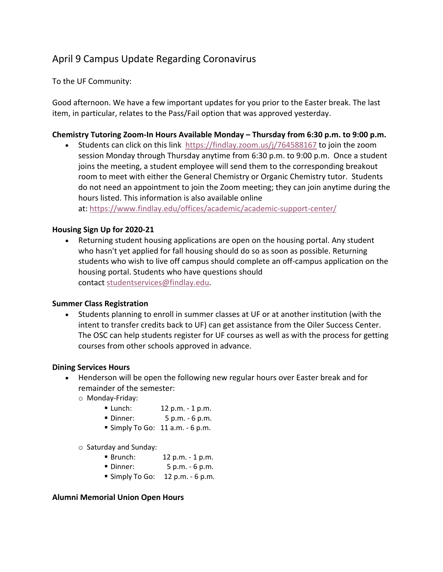# April 9 Campus Update Regarding Coronavirus

To the UF Community:

Good afternoon. We have a few important updates for you prior to the Easter break. The last item, in particular, relates to the Pass/Fail option that was approved yesterday.

## **Chemistry Tutoring Zoom-In Hours Available Monday – Thursday from 6:30 p.m. to 9:00 p.m.**

• Students can click on this link https://findlay.zoom.us/j/764588167 to join the zoom session Monday through Thursday anytime from 6:30 p.m. to 9:00 p.m. Once a student joins the meeting, a student employee will send them to the corresponding breakout room to meet with either the General Chemistry or Organic Chemistry tutor. Students do not need an appointment to join the Zoom meeting; they can join anytime during the hours listed. This information is also available online

at: https://www.findlay.edu/offices/academic/academic-support-center/

## **Housing Sign Up for 2020-21**

• Returning student housing applications are open on the housing portal. Any student who hasn't yet applied for fall housing should do so as soon as possible. Returning students who wish to live off campus should complete an off-campus application on the housing portal. Students who have questions should contact studentservices@findlay.edu.

#### **Summer Class Registration**

• Students planning to enroll in summer classes at UF or at another institution (with the intent to transfer credits back to UF) can get assistance from the Oiler Success Center. The OSC can help students register for UF courses as well as with the process for getting courses from other schools approved in advance.

#### **Dining Services Hours**

- Henderson will be open the following new regular hours over Easter break and for remainder of the semester:
	- o Monday-Friday:
		- Lunch: 12 p.m. 1 p.m.
		- Dinner: 5 p.m. 6 p.m.
		- $\blacksquare$  Simply To Go: 11 a.m. 6 p.m.
	- o Saturday and Sunday:
		- Brunch: 12 p.m. 1 p.m.
		- Dinner: 5 p.m. 6 p.m.
		- $\blacksquare$  Simply To Go: 12 p.m. 6 p.m.

#### **Alumni Memorial Union Open Hours**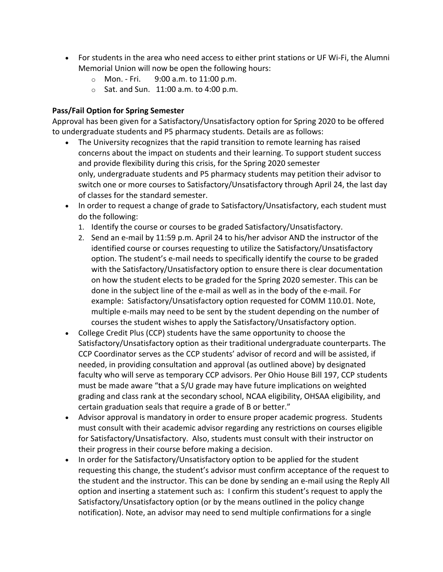- For students in the area who need access to either print stations or UF Wi-Fi, the Alumni Memorial Union will now be open the following hours:
	- o Mon. Fri. 9:00 a.m. to 11:00 p.m.
	- $\circ$  Sat. and Sun. 11:00 a.m. to 4:00 p.m.

### **Pass/Fail Option for Spring Semester**

Approval has been given for a Satisfactory/Unsatisfactory option for Spring 2020 to be offered to undergraduate students and P5 pharmacy students. Details are as follows:

- The University recognizes that the rapid transition to remote learning has raised concerns about the impact on students and their learning. To support student success and provide flexibility during this crisis, for the Spring 2020 semester only, undergraduate students and P5 pharmacy students may petition their advisor to switch one or more courses to Satisfactory/Unsatisfactory through April 24, the last day of classes for the standard semester.
- In order to request a change of grade to Satisfactory/Unsatisfactory, each student must do the following:
	- 1. Identify the course or courses to be graded Satisfactory/Unsatisfactory.
	- 2. Send an e-mail by 11:59 p.m. April 24 to his/her advisor AND the instructor of the identified course or courses requesting to utilize the Satisfactory/Unsatisfactory option. The student's e-mail needs to specifically identify the course to be graded with the Satisfactory/Unsatisfactory option to ensure there is clear documentation on how the student elects to be graded for the Spring 2020 semester. This can be done in the subject line of the e-mail as well as in the body of the e-mail. For example: Satisfactory/Unsatisfactory option requested for COMM 110.01. Note, multiple e-mails may need to be sent by the student depending on the number of courses the student wishes to apply the Satisfactory/Unsatisfactory option.
- College Credit Plus (CCP) students have the same opportunity to choose the Satisfactory/Unsatisfactory option as their traditional undergraduate counterparts. The CCP Coordinator serves as the CCP students' advisor of record and will be assisted, if needed, in providing consultation and approval (as outlined above) by designated faculty who will serve as temporary CCP advisors. Per Ohio House Bill 197, CCP students must be made aware "that a S/U grade may have future implications on weighted grading and class rank at the secondary school, NCAA eligibility, OHSAA eligibility, and certain graduation seals that require a grade of B or better."
- Advisor approval is mandatory in order to ensure proper academic progress. Students must consult with their academic advisor regarding any restrictions on courses eligible for Satisfactory/Unsatisfactory. Also, students must consult with their instructor on their progress in their course before making a decision.
- In order for the Satisfactory/Unsatisfactory option to be applied for the student requesting this change, the student's advisor must confirm acceptance of the request to the student and the instructor. This can be done by sending an e-mail using the Reply All option and inserting a statement such as: I confirm this student's request to apply the Satisfactory/Unsatisfactory option (or by the means outlined in the policy change notification). Note, an advisor may need to send multiple confirmations for a single